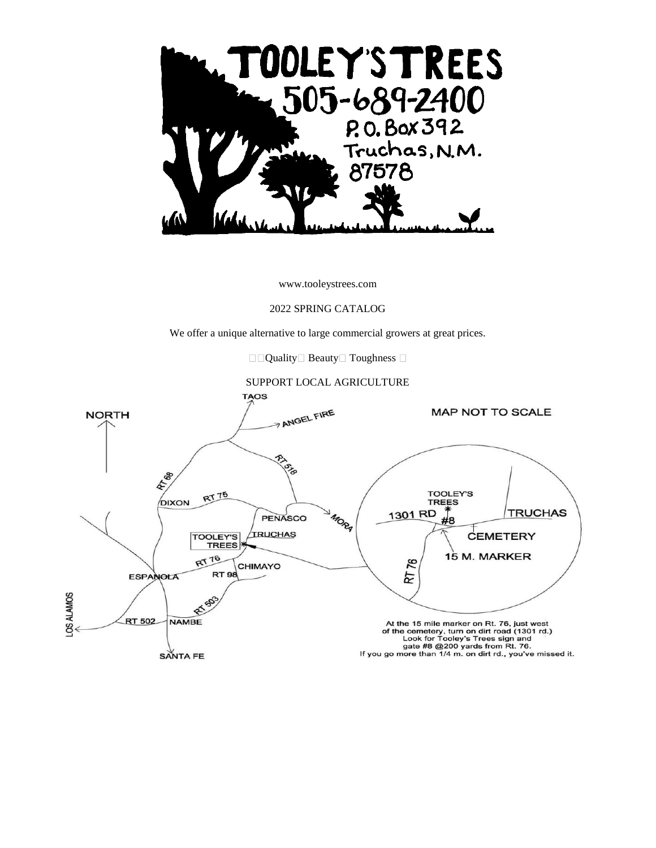

www.tooleystrees.com

#### 2022 SPRING CATALOG

We offer a unique alternative to large commercial growers at great prices.

 $\Box$  Quality  $\Box$  Beauty  $\Box$  Toughness  $\Box$ 

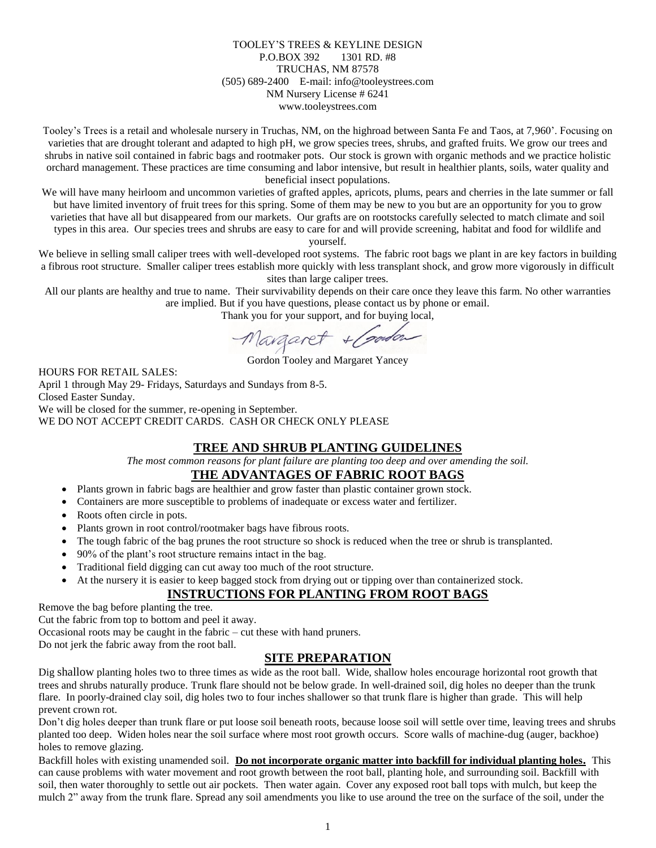### TOOLEY'S TREES & KEYLINE DESIGN P.O.BOX 392 1301 RD. #8 TRUCHAS, NM 87578 (505) 689-2400 E-mail: info@tooleystrees.com NM Nursery License # 6241 www.tooleystrees.com

Tooley's Trees is a retail and wholesale nursery in Truchas, NM, on the highroad between Santa Fe and Taos, at 7,960'. Focusing on varieties that are drought tolerant and adapted to high pH, we grow species trees, shrubs, and grafted fruits. We grow our trees and shrubs in native soil contained in fabric bags and rootmaker pots. Our stock is grown with organic methods and we practice holistic orchard management. These practices are time consuming and labor intensive, but result in healthier plants, soils, water quality and beneficial insect populations.

We will have many heirloom and uncommon varieties of grafted apples, apricots, plums, pears and cherries in the late summer or fall but have limited inventory of fruit trees for this spring. Some of them may be new to you but are an opportunity for you to grow varieties that have all but disappeared from our markets. Our grafts are on rootstocks carefully selected to match climate and soil types in this area. Our species trees and shrubs are easy to care for and will provide screening, habitat and food for wildlife and yourself.

We believe in selling small caliper trees with well-developed root systems. The fabric root bags we plant in are key factors in building a fibrous root structure. Smaller caliper trees establish more quickly with less transplant shock, and grow more vigorously in difficult sites than large caliper trees.

All our plants are healthy and true to name. Their survivability depends on their care once they leave this farm. No other warranties are implied. But if you have questions, please contact us by phone or email.

Thank you for your support, and for buying local,

Margaret + Coordon

Gordon Tooley and Margaret Yancey

HOURS FOR RETAIL SALES:

April 1 through May 29- Fridays, Saturdays and Sundays from 8-5. Closed Easter Sunday. We will be closed for the summer, re-opening in September.

WE DO NOT ACCEPT CREDIT CARDS. CASH OR CHECK ONLY PLEASE

### **TREE AND SHRUB PLANTING GUIDELINES**

*The most common reasons for plant failure are planting too deep and over amending the soil.*

### **THE ADVANTAGES OF FABRIC ROOT BAGS**

- Plants grown in fabric bags are healthier and grow faster than plastic container grown stock.
- Containers are more susceptible to problems of inadequate or excess water and fertilizer.
- Roots often circle in pots.
- Plants grown in root control/rootmaker bags have fibrous roots.
- The tough fabric of the bag prunes the root structure so shock is reduced when the tree or shrub is transplanted.
- 90% of the plant's root structure remains intact in the bag.
- Traditional field digging can cut away too much of the root structure.
	- At the nursery it is easier to keep bagged stock from drying out or tipping over than containerized stock.

### **INSTRUCTIONS FOR PLANTING FROM ROOT BAGS**

Remove the bag before planting the tree.

Cut the fabric from top to bottom and peel it away.

Occasional roots may be caught in the fabric – cut these with hand pruners.

Do not jerk the fabric away from the root ball.

### **SITE PREPARATION**

Dig shallow planting holes two to three times as wide as the root ball. Wide, shallow holes encourage horizontal root growth that trees and shrubs naturally produce. Trunk flare should not be below grade. In well-drained soil, dig holes no deeper than the trunk flare. In poorly-drained clay soil, dig holes two to four inches shallower so that trunk flare is higher than grade. This will help prevent crown rot.

Don't dig holes deeper than trunk flare or put loose soil beneath roots, because loose soil will settle over time, leaving trees and shrubs planted too deep. Widen holes near the soil surface where most root growth occurs. Score walls of machine-dug (auger, backhoe) holes to remove glazing.

Backfill holes with existing unamended soil. **Do not incorporate organic matter into backfill for individual planting holes.** This can cause problems with water movement and root growth between the root ball, planting hole, and surrounding soil. Backfill with soil, then water thoroughly to settle out air pockets. Then water again. Cover any exposed root ball tops with mulch, but keep the mulch 2" away from the trunk flare. Spread any soil amendments you like to use around the tree on the surface of the soil, under the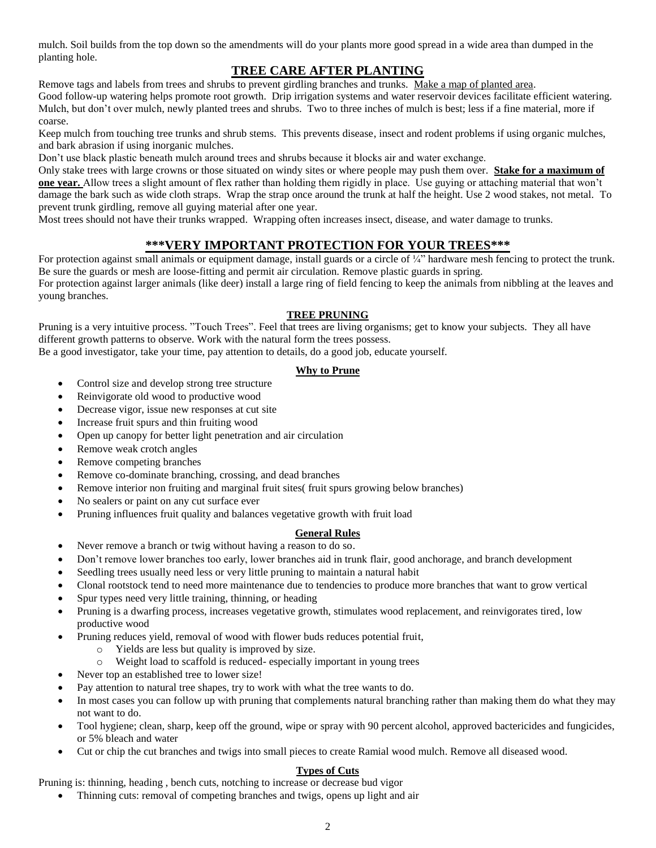mulch. Soil builds from the top down so the amendments will do your plants more good spread in a wide area than dumped in the planting hole.

### **TREE CARE AFTER PLANTING**

Remove tags and labels from trees and shrubs to prevent girdling branches and trunks. Make a map of planted area.

Good follow-up watering helps promote root growth. Drip irrigation systems and water reservoir devices facilitate efficient watering. Mulch, but don't over mulch, newly planted trees and shrubs. Two to three inches of mulch is best; less if a fine material, more if coarse.

Keep mulch from touching tree trunks and shrub stems. This prevents disease, insect and rodent problems if using organic mulches, and bark abrasion if using inorganic mulches.

Don't use black plastic beneath mulch around trees and shrubs because it blocks air and water exchange.

Only stake trees with large crowns or those situated on windy sites or where people may push them over. **Stake for a maximum of one year.** Allow trees a slight amount of flex rather than holding them rigidly in place. Use guying or attaching material that won't damage the bark such as wide cloth straps. Wrap the strap once around the trunk at half the height. Use 2 wood stakes, not metal. To prevent trunk girdling, remove all guying material after one year.

Most trees should not have their trunks wrapped. Wrapping often increases insect, disease, and water damage to trunks.

### **\*\*\*VERY IMPORTANT PROTECTION FOR YOUR TREES\*\*\***

For protection against small animals or equipment damage, install guards or a circle of ¼" hardware mesh fencing to protect the trunk. Be sure the guards or mesh are loose-fitting and permit air circulation. Remove plastic guards in spring. For protection against larger animals (like deer) install a large ring of field fencing to keep the animals from nibbling at the leaves and young branches.

### **TREE PRUNING**

Pruning is a very intuitive process. "Touch Trees". Feel that trees are living organisms; get to know your subjects. They all have different growth patterns to observe. Work with the natural form the trees possess.

Be a good investigator, take your time, pay attention to details, do a good job, educate yourself.

### **Why to Prune**

- Control size and develop strong tree structure
- Reinvigorate old wood to productive wood
- Decrease vigor, issue new responses at cut site
- Increase fruit spurs and thin fruiting wood
- Open up canopy for better light penetration and air circulation
- Remove weak crotch angles
- Remove competing branches
- Remove co-dominate branching, crossing, and dead branches
- Remove interior non fruiting and marginal fruit sites( fruit spurs growing below branches)
- No sealers or paint on any cut surface ever
- Pruning influences fruit quality and balances vegetative growth with fruit load

### **General Rules**

- Never remove a branch or twig without having a reason to do so.
- Don't remove lower branches too early, lower branches aid in trunk flair, good anchorage, and branch development
- Seedling trees usually need less or very little pruning to maintain a natural habit
- Clonal rootstock tend to need more maintenance due to tendencies to produce more branches that want to grow vertical
- Spur types need very little training, thinning, or heading
- Pruning is a dwarfing process, increases vegetative growth, stimulates wood replacement, and reinvigorates tired, low productive wood
- Pruning reduces yield, removal of wood with flower buds reduces potential fruit,
	- o Yields are less but quality is improved by size.
	- o Weight load to scaffold is reduced- especially important in young trees
- Never top an established tree to lower size!
- Pay attention to natural tree shapes, try to work with what the tree wants to do.
- In most cases you can follow up with pruning that complements natural branching rather than making them do what they may not want to do.
- Tool hygiene; clean, sharp, keep off the ground, wipe or spray with 90 percent alcohol, approved bactericides and fungicides, or 5% bleach and water
- Cut or chip the cut branches and twigs into small pieces to create Ramial wood mulch. Remove all diseased wood.

### **Types of Cuts**

Pruning is: thinning, heading , bench cuts, notching to increase or decrease bud vigor

Thinning cuts: removal of competing branches and twigs, opens up light and air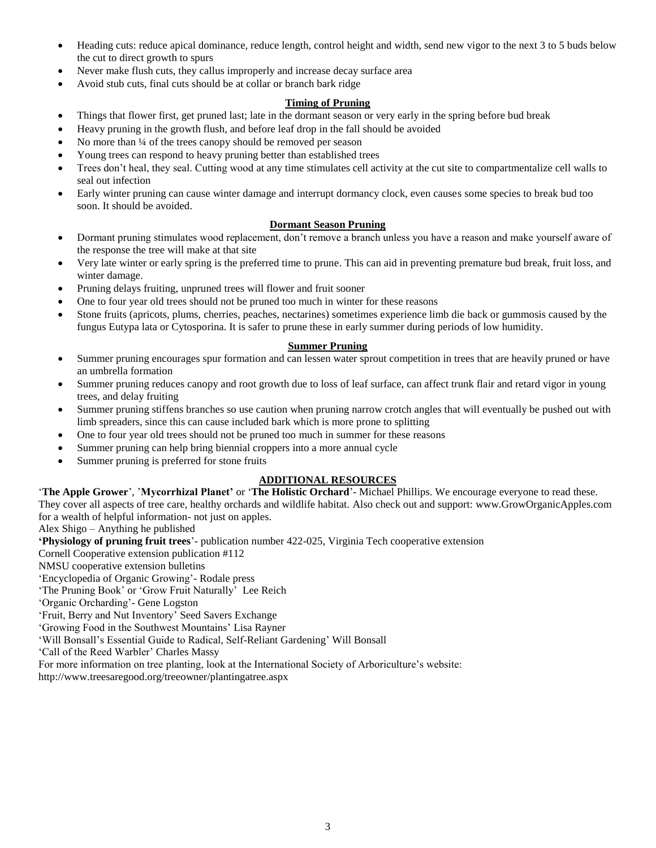- Heading cuts: reduce apical dominance, reduce length, control height and width, send new vigor to the next 3 to 5 buds below the cut to direct growth to spurs
- Never make flush cuts, they callus improperly and increase decay surface area
- Avoid stub cuts, final cuts should be at collar or branch bark ridge

### **Timing of Pruning**

- Things that flower first, get pruned last; late in the dormant season or very early in the spring before bud break
- Heavy pruning in the growth flush, and before leaf drop in the fall should be avoided
- No more than 1/4 of the trees canopy should be removed per season
- Young trees can respond to heavy pruning better than established trees
- Trees don't heal, they seal. Cutting wood at any time stimulates cell activity at the cut site to compartmentalize cell walls to seal out infection
- Early winter pruning can cause winter damage and interrupt dormancy clock, even causes some species to break bud too soon. It should be avoided.

### **Dormant Season Pruning**

- Dormant pruning stimulates wood replacement, don't remove a branch unless you have a reason and make yourself aware of the response the tree will make at that site
- Very late winter or early spring is the preferred time to prune. This can aid in preventing premature bud break, fruit loss, and winter damage.
- Pruning delays fruiting, unpruned trees will flower and fruit sooner
- One to four year old trees should not be pruned too much in winter for these reasons
- Stone fruits (apricots, plums, cherries, peaches, nectarines) sometimes experience limb die back or gummosis caused by the fungus Eutypa lata or Cytosporina. It is safer to prune these in early summer during periods of low humidity.

### **Summer Pruning**

- Summer pruning encourages spur formation and can lessen water sprout competition in trees that are heavily pruned or have an umbrella formation
- Summer pruning reduces canopy and root growth due to loss of leaf surface, can affect trunk flair and retard vigor in young trees, and delay fruiting
- Summer pruning stiffens branches so use caution when pruning narrow crotch angles that will eventually be pushed out with limb spreaders, since this can cause included bark which is more prone to splitting
- One to four year old trees should not be pruned too much in summer for these reasons
- Summer pruning can help bring biennial croppers into a more annual cycle
- Summer pruning is preferred for stone fruits

### **ADDITIONAL RESOURCES**

'**The Apple Grower**', '**Mycorrhizal Planet'** or '**The Holistic Orchard**'- Michael Phillips. We encourage everyone to read these. They cover all aspects of tree care, healthy orchards and wildlife habitat. Also check out and support: www.GrowOrganicApples.com for a wealth of helpful information- not just on apples.

Alex Shigo – Anything he published

**'Physiology of pruning fruit trees**'- publication number 422-025, Virginia Tech cooperative extension

Cornell Cooperative extension publication #112

NMSU cooperative extension bulletins

'Encyclopedia of Organic Growing'- Rodale press

'The Pruning Book' or 'Grow Fruit Naturally' Lee Reich

'Organic Orcharding'- Gene Logston

'Fruit, Berry and Nut Inventory' Seed Savers Exchange

'Growing Food in the Southwest Mountains' Lisa Rayner

'Will Bonsall's Essential Guide to Radical, Self-Reliant Gardening' Will Bonsall

'Call of the Reed Warbler' Charles Massy

For more information on tree planting, look at the International Society of Arboriculture's website:

http://www.treesaregood.org/treeowner/plantingatree.aspx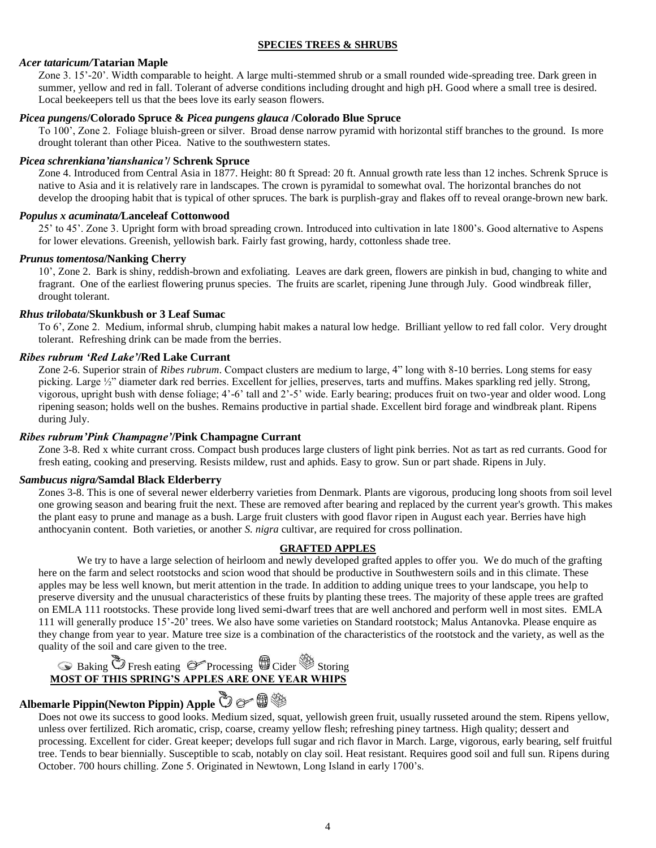### **SPECIES TREES & SHRUBS**

### *Acer tataricum/***Tatarian Maple**

Zone 3. 15'-20'. Width comparable to height. A large multi-stemmed shrub or a small rounded wide-spreading tree. Dark green in summer, yellow and red in fall. Tolerant of adverse conditions including drought and high pH. Good where a small tree is desired. Local beekeepers tell us that the bees love its early season flowers.

### *Picea pungens***/Colorado Spruce &** *Picea pungens glauca* **/Colorado Blue Spruce**

To 100', Zone 2. Foliage bluish-green or silver. Broad dense narrow pyramid with horizontal stiff branches to the ground. Is more drought tolerant than other Picea. Native to the southwestern states.

### *Picea schrenkiana'tianshanica'***/ Schrenk Spruce**

Zone 4. Introduced from Central Asia in 1877. Height: 80 ft Spread: 20 ft. Annual growth rate less than 12 inches. Schrenk Spruce is native to Asia and it is relatively rare in landscapes. The crown is pyramidal to somewhat oval. The horizontal branches do not develop the drooping habit that is typical of other spruces. The bark is purplish-gray and flakes off to reveal orange-brown new bark.

#### *Populus x acuminata/***Lanceleaf Cottonwood**

25' to 45'. Zone 3. Upright form with broad spreading crown. Introduced into cultivation in late 1800's. Good alternative to Aspens for lower elevations. Greenish, yellowish bark. Fairly fast growing, hardy, cottonless shade tree.

### *Prunus tomentosa***/Nanking Cherry**

10', Zone 2. Bark is shiny, reddish-brown and exfoliating. Leaves are dark green, flowers are pinkish in bud, changing to white and fragrant. One of the earliest flowering prunus species. The fruits are scarlet, ripening June through July. Good windbreak filler, drought tolerant.

### *Rhus trilobata***/Skunkbush or 3 Leaf Sumac**

To 6', Zone 2. Medium, informal shrub, clumping habit makes a natural low hedge. Brilliant yellow to red fall color. Very drought tolerant. Refreshing drink can be made from the berries.

### *Ribes rubrum 'Red Lake'***/Red Lake Currant**

Zone 2-6. Superior strain of *Ribes rubrum*. Compact clusters are medium to large, 4" long with 8-10 berries. Long stems for easy picking. Large ½" diameter dark red berries. Excellent for jellies, preserves, tarts and muffins. Makes sparkling red jelly. Strong, vigorous, upright bush with dense foliage; 4'-6' tall and 2'-5' wide. Early bearing; produces fruit on two-year and older wood. Long ripening season; holds well on the bushes. Remains productive in partial shade. Excellent bird forage and windbreak plant. Ripens during July.

### *Ribes rubrum'Pink Champagne'***/Pink Champagne Currant**

Zone 3-8. Red x white currant cross. Compact bush produces large clusters of light pink berries. Not as tart as red currants. Good for fresh eating, cooking and preserving. Resists mildew, rust and aphids. Easy to grow. Sun or part shade. Ripens in July.

### *Sambucus nigra/***Samdal Black Elderberry**

Zones 3-8. This is one of several newer elderberry varieties from Denmark. Plants are vigorous, producing long shoots from soil level one growing season and bearing fruit the next. These are removed after bearing and replaced by the current year's growth. This makes the plant easy to prune and manage as a bush. Large fruit clusters with good flavor ripen in August each year. Berries have high anthocyanin content. Both varieties, or another *S. nigra* cultivar, are required for cross pollination.

### **GRAFTED APPLES**

We try to have a large selection of heirloom and newly developed grafted apples to offer you. We do much of the grafting here on the farm and select rootstocks and scion wood that should be productive in Southwestern soils and in this climate. These apples may be less well known, but merit attention in the trade. In addition to adding unique trees to your landscape, you help to preserve diversity and the unusual characteristics of these fruits by planting these trees. The majority of these apple trees are grafted on EMLA 111 rootstocks. These provide long lived semi-dwarf trees that are well anchored and perform well in most sites. EMLA 111 will generally produce 15'-20' trees. We also have some varieties on Standard rootstock; Malus Antanovka. Please enquire as they change from year to year. Mature tree size is a combination of the characteristics of the rootstock and the variety, as well as the quality of the soil and care given to the tree.

## **Baking OF** Fresh eating **P** Processing **B** Cider Storing **MOST OF THIS SPRING'S APPLES ARE ONE YEAR WHIPS**

# **Albemarle Pippin(Newton Pippin) Apple**

Does not owe its success to good looks. Medium sized, squat, yellowish green fruit, usually russeted around the stem. Ripens yellow, unless over fertilized. Rich aromatic, crisp, coarse, creamy yellow flesh; refreshing piney tartness. High quality; dessert and processing. Excellent for cider. Great keeper; develops full sugar and rich flavor in March. Large, vigorous, early bearing, self fruitful tree. Tends to bear biennially. Susceptible to scab, notably on clay soil. Heat resistant. Requires good soil and full sun. Ripens during October. 700 hours chilling. Zone 5. Originated in Newtown, Long Island in early 1700's.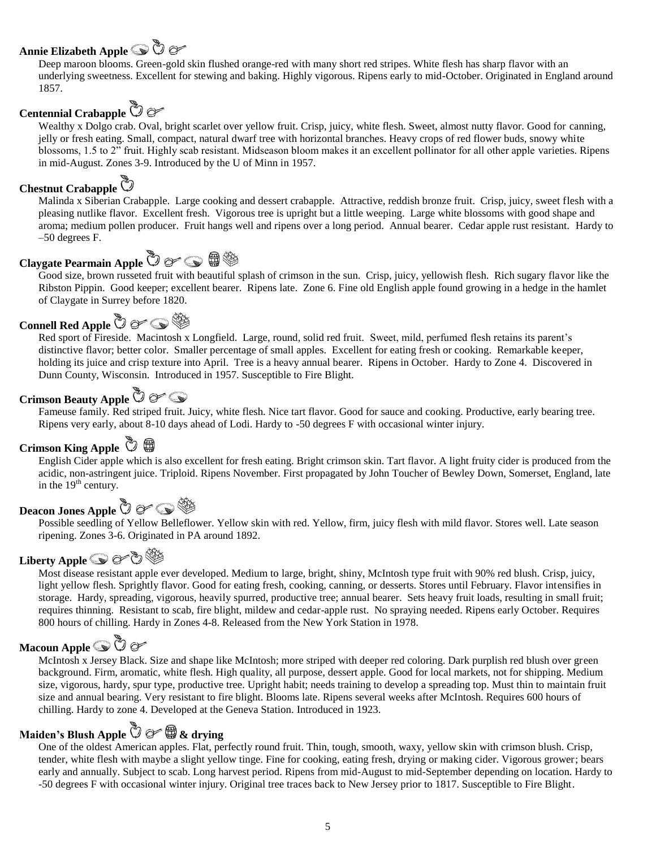## **Annie Elizabeth Apple**

Deep maroon blooms. Green-gold skin flushed orange-red with many short red stripes. White flesh has sharp flavor with an underlying sweetness. Excellent for stewing and baking. Highly vigorous. Ripens early to mid-October. Originated in England around 1857.

## **Centennial Crabapple**

Wealthy x Dolgo crab. Oval, bright scarlet over yellow fruit. Crisp, juicy, white flesh. Sweet, almost nutty flavor. Good for canning, jelly or fresh eating. Small, compact, natural dwarf tree with horizontal branches. Heavy crops of red flower buds, snowy white blossoms, 1.5 to 2" fruit. Highly scab resistant. Midseason bloom makes it an excellent pollinator for all other apple varieties. Ripens in mid-August. Zones 3-9. Introduced by the U of Minn in 1957.

### **Chestnut Crabapple**

Malinda x Siberian Crabapple. Large cooking and dessert crabapple. Attractive, reddish bronze fruit. Crisp, juicy, sweet flesh with a pleasing nutlike flavor. Excellent fresh. Vigorous tree is upright but a little weeping. Large white blossoms with good shape and aroma; medium pollen producer. Fruit hangs well and ripens over a long period. Annual bearer. Cedar apple rust resistant. Hardy to –50 degrees F.

## **Claygate Pearmain Apple**  $\bullet \infty \oplus \text{ s.t. }$

Good size, brown russeted fruit with beautiful splash of crimson in the sun. Crisp, juicy, yellowish flesh. Rich sugary flavor like the Ribston Pippin. Good keeper; excellent bearer. Ripens late. Zone 6. Fine old English apple found growing in a hedge in the hamlet of Claygate in Surrey before 1820.

## **Connell Red Apple**  $\bullet$  $\circledcirc$  $\circledcirc$

Red sport of Fireside. Macintosh x Longfield. Large, round, solid red fruit. Sweet, mild, perfumed flesh retains its parent's distinctive flavor; better color. Smaller percentage of small apples. Excellent for eating fresh or cooking. Remarkable keeper, holding its juice and crisp texture into April. Tree is a heavy annual bearer. Ripens in October. Hardy to Zone 4. Discovered in Dunn County, Wisconsin. Introduced in 1957. Susceptible to Fire Blight.

## **Crimson Beauty Apple**

Fameuse family. Red striped fruit. Juicy, white flesh. Nice tart flavor. Good for sauce and cooking. Productive, early bearing tree. Ripens very early, about 8-10 days ahead of Lodi. Hardy to -50 degrees F with occasional winter injury.

### Crimson King Apple **①** 母

English Cider apple which is also excellent for fresh eating. Bright crimson skin. Tart flavor. A light fruity cider is produced from the acidic, non-astringent juice. Triploid. Ripens November. First propagated by John Toucher of Bewley Down, Somerset, England, late in the  $19<sup>th</sup>$  century.

## **Deacon Jones Apple**

Possible seedling of Yellow Belleflower. Yellow skin with red. Yellow, firm, juicy flesh with mild flavor. Stores well. Late season ripening. Zones 3-6. Originated in PA around 1892.

## Liberty **Apple ● or も**

Most disease resistant apple ever developed. Medium to large, bright, shiny, McIntosh type fruit with 90% red blush. Crisp, juicy, light yellow flesh. Sprightly flavor. Good for eating fresh, cooking, canning, or desserts. Stores until February. Flavor intensifies in storage. Hardy, spreading, vigorous, heavily spurred, productive tree; annual bearer. Sets heavy fruit loads, resulting in small fruit; requires thinning. Resistant to scab, fire blight, mildew and cedar-apple rust. No spraying needed. Ripens early October. Requires 800 hours of chilling. Hardy in Zones 4-8. Released from the New York Station in 1978.

## **Macoun Apple**

McIntosh x Jersey Black. Size and shape like McIntosh; more striped with deeper red coloring. Dark purplish red blush over green background. Firm, aromatic, white flesh. High quality, all purpose, dessert apple. Good for local markets, not for shipping. Medium size, vigorous, hardy, spur type, productive tree. Upright habit; needs training to develop a spreading top. Must thin to maintain fruit size and annual bearing. Very resistant to fire blight. Blooms late. Ripens several weeks after McIntosh. Requires 600 hours of chilling. Hardy to zone 4. Developed at the Geneva Station. Introduced in 1923.

## **Maiden's Blush Apple & drying**

One of the oldest American apples. Flat, perfectly round fruit. Thin, tough, smooth, waxy, yellow skin with crimson blush. Crisp, tender, white flesh with maybe a slight yellow tinge. Fine for cooking, eating fresh, drying or making cider. Vigorous grower; bears early and annually. Subject to scab. Long harvest period. Ripens from mid-August to mid-September depending on location. Hardy to -50 degrees F with occasional winter injury. Original tree traces back to New Jersey prior to 1817. Susceptible to Fire Blight.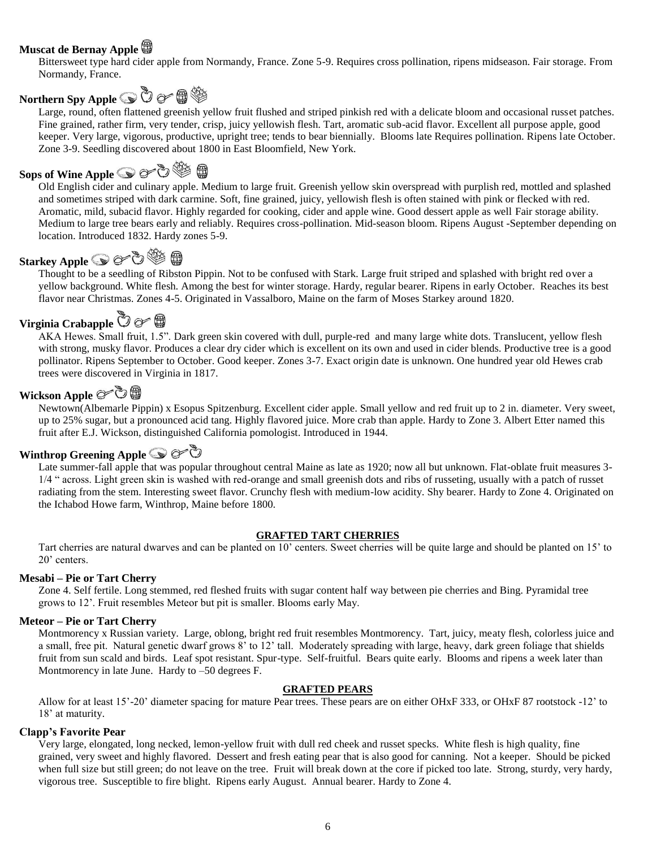### **Muscat de Bernay Apple**

Bittersweet type hard cider apple from Normandy, France. Zone 5-9. Requires cross pollination, ripens midseason. Fair storage. From Normandy, France.

## **Northern Spy Apple <b>③** ⑦ *o*<sup>></sup> 母 <sup>③</sup>

Large, round, often flattened greenish yellow fruit flushed and striped pinkish red with a delicate bloom and occasional russet patches. Fine grained, rather firm, very tender, crisp, juicy yellowish flesh. Tart, aromatic sub-acid flavor. Excellent all purpose apple, good keeper. Very large, vigorous, productive, upright tree; tends to bear biennially. Blooms late Requires pollination. Ripens late October. Zone 3-9. Seedling discovered about 1800 in East Bloomfield, New York.

## **Sops of Wine Apple**

Old English cider and culinary apple. Medium to large fruit. Greenish yellow skin overspread with purplish red, mottled and splashed and sometimes striped with dark carmine. Soft, fine grained, juicy, yellowish flesh is often stained with pink or flecked with red. Aromatic, mild, subacid flavor. Highly regarded for cooking, cider and apple wine. Good dessert apple as well Fair storage ability. Medium to large tree bears early and reliably. Requires cross-pollination. Mid-season bloom. Ripens August -September depending on location. Introduced 1832. Hardy zones 5-9.

## Starkey Apple **● o** うや の

Thought to be a seedling of Ribston Pippin. Not to be confused with Stark. Large fruit striped and splashed with bright red over a yellow background. White flesh. Among the best for winter storage. Hardy, regular bearer. Ripens in early October. Reaches its best flavor near Christmas. Zones 4-5. Originated in Vassalboro, Maine on the farm of Moses Starkey around 1820.

## **Virginia Crabapple ⑦** *o* ●

AKA Hewes. Small fruit, 1.5". Dark green skin covered with dull, purple-red and many large white dots. Translucent, yellow flesh with strong, musky flavor. Produces a clear dry cider which is excellent on its own and used in cider blends. Productive tree is a good pollinator. Ripens September to October. Good keeper. Zones 3-7. Exact origin date is unknown. One hundred year old Hewes crab trees were discovered in Virginia in 1817.

### Wickson Apple *o*<sup>つき</sup>

Newtown(Albemarle Pippin) x Esopus Spitzenburg. Excellent cider apple. Small yellow and red fruit up to 2 in. diameter. Very sweet, up to 25% sugar, but a pronounced acid tang. Highly flavored juice. More crab than apple. Hardy to Zone 3. Albert Etter named this fruit after E.J. Wickson, distinguished California pomologist. Introduced in 1944.

### **Winthrop Greening Apple <b>③** & ②

Late summer-fall apple that was popular throughout central Maine as late as 1920; now all but unknown. Flat-oblate fruit measures 3-1/4 " across. Light green skin is washed with red-orange and small greenish dots and ribs of russeting, usually with a patch of russet radiating from the stem. Interesting sweet flavor. Crunchy flesh with medium-low acidity. Shy bearer. Hardy to Zone 4. Originated on the Ichabod Howe farm, Winthrop, Maine before 1800.

#### **GRAFTED TART CHERRIES**

Tart cherries are natural dwarves and can be planted on 10' centers. Sweet cherries will be quite large and should be planted on 15' to 20' centers.

### **Mesabi – Pie or Tart Cherry**

Zone 4. Self fertile. Long stemmed, red fleshed fruits with sugar content half way between pie cherries and Bing. Pyramidal tree grows to 12'. Fruit resembles Meteor but pit is smaller. Blooms early May.

### **Meteor – Pie or Tart Cherry**

Montmorency x Russian variety. Large, oblong, bright red fruit resembles Montmorency. Tart, juicy, meaty flesh, colorless juice and a small, free pit. Natural genetic dwarf grows 8' to 12' tall. Moderately spreading with large, heavy, dark green foliage that shields fruit from sun scald and birds. Leaf spot resistant. Spur-type. Self-fruitful. Bears quite early. Blooms and ripens a week later than Montmorency in late June. Hardy to –50 degrees F.

### **GRAFTED PEARS**

Allow for at least 15'-20' diameter spacing for mature Pear trees. These pears are on either OHxF 333, or OHxF 87 rootstock -12' to 18' at maturity.

### **Clapp's Favorite Pear**

Very large, elongated, long necked, lemon-yellow fruit with dull red cheek and russet specks. White flesh is high quality, fine grained, very sweet and highly flavored. Dessert and fresh eating pear that is also good for canning. Not a keeper. Should be picked when full size but still green; do not leave on the tree. Fruit will break down at the core if picked too late. Strong, sturdy, very hardy, vigorous tree. Susceptible to fire blight. Ripens early August. Annual bearer. Hardy to Zone 4.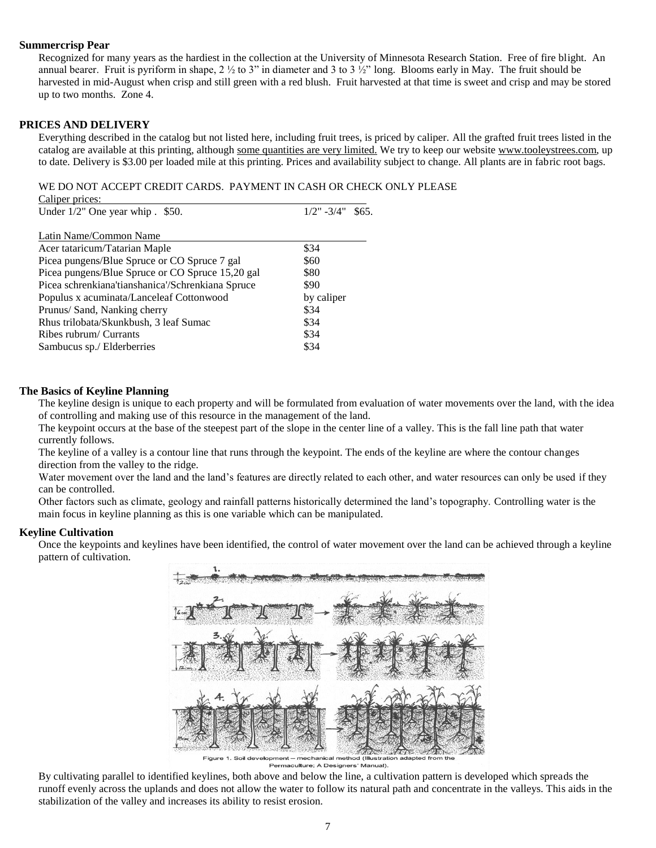### **Summercrisp Pear**

Recognized for many years as the hardiest in the collection at the University of Minnesota Research Station. Free of fire blight. An annual bearer. Fruit is pyriform in shape,  $2 \frac{1}{2}$  to 3" in diameter and 3 to 3  $\frac{1}{2}$ " long. Blooms early in May. The fruit should be harvested in mid-August when crisp and still green with a red blush. Fruit harvested at that time is sweet and crisp and may be stored up to two months. Zone 4.

### **PRICES AND DELIVERY**

Everything described in the catalog but not listed here, including fruit trees, is priced by caliper. All the grafted fruit trees listed in the catalog are available at this printing, although some quantities are very limited. We try to keep our website www.tooleystrees.com, up to date. Delivery is \$3.00 per loaded mile at this printing. Prices and availability subject to change. All plants are in fabric root bags.

#### WE DO NOT ACCEPT CREDIT CARDS. PAYMENT IN CASH OR CHECK ONLY PLEASE

| Caliper prices:                                   |                           |
|---------------------------------------------------|---------------------------|
| Under 1/2" One year whip . \$50.                  | $1/2$ " $-3/4$ "<br>\$65. |
|                                                   |                           |
| Latin Name/Common Name                            |                           |
| Acer tataricum/Tatarian Maple                     | \$34                      |
| Picea pungens/Blue Spruce or CO Spruce 7 gal      | \$60                      |
| Picea pungens/Blue Spruce or CO Spruce 15,20 gal  | \$80                      |
| Picea schrenkiana'tianshanica'/Schrenkiana Spruce | \$90                      |
| Populus x acuminata/Lanceleaf Cottonwood          | by caliper                |
| Prunus/ Sand, Nanking cherry                      | \$34                      |
| Rhus trilobata/Skunkbush, 3 leaf Sumac            | \$34                      |
| Ribes rubrum/ Currants                            | \$34                      |
| Sambucus sp./ Elderberries                        | \$34                      |
|                                                   |                           |

### **The Basics of Keyline Planning**

The keyline design is unique to each property and will be formulated from evaluation of water movements over the land, with the idea of controlling and making use of this resource in the management of the land.

The keypoint occurs at the base of the steepest part of the slope in the center line of a valley. This is the fall line path that water currently follows.

The keyline of a valley is a contour line that runs through the keypoint. The ends of the keyline are where the contour changes direction from the valley to the ridge.

Water movement over the land and the land's features are directly related to each other, and water resources can only be used if they can be controlled.

Other factors such as climate, geology and rainfall patterns historically determined the land's topography. Controlling water is the main focus in keyline planning as this is one variable which can be manipulated.

#### **Keyline Cultivation**

Once the keypoints and keylines have been identified, the control of water movement over the land can be achieved through a keyline pattern of cultivation.



mechanical method (Illustrat Permaculture; A Designers' Manual).

Figure

By cultivating parallel to identified keylines, both above and below the line, a cultivation pattern is developed which spreads the runoff evenly across the uplands and does not allow the water to follow its natural path and concentrate in the valleys. This aids in the stabilization of the valley and increases its ability to resist erosion.